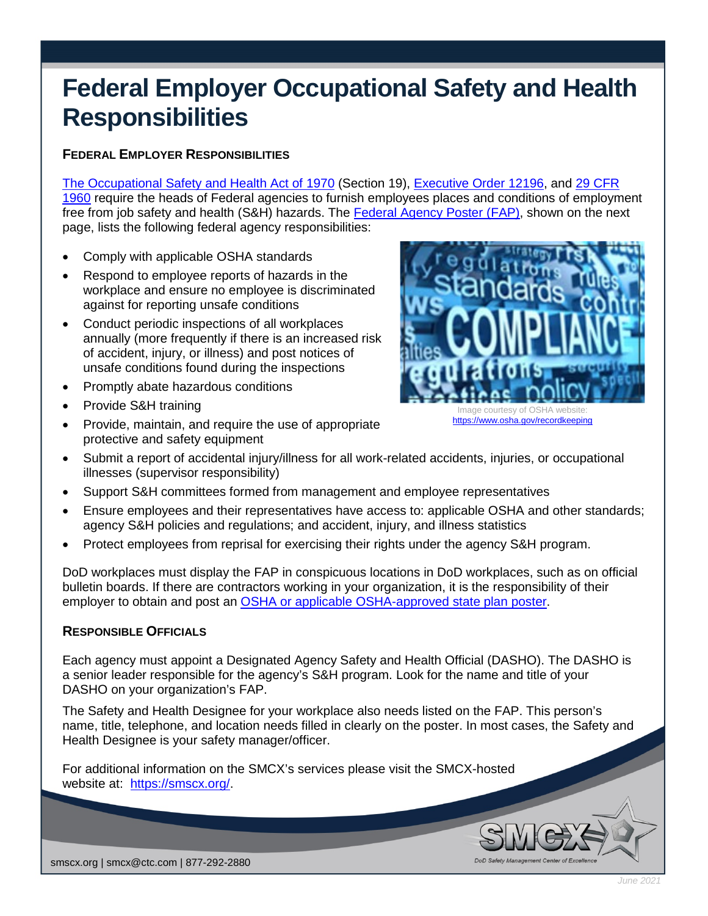# **Federal Employer Occupational Safety and Health Responsibilities**

# **FEDERAL EMPLOYER RESPONSIBILITIES**

[The Occupational Safety and Health Act of 1970](https://www.osha.gov/laws-regs/oshact/completeoshact) (Section 19), [Executive Order 12196,](https://www.archives.gov/federal-register/codification/executive-order/12196.html) and [29 CFR](https://www.osha.gov/laws-regs/regulations/standardnumber/1960)  [1960](https://www.osha.gov/laws-regs/regulations/standardnumber/1960) require the heads of Federal agencies to furnish employees places and conditions of employment free from job safety and health (S&H) hazards. The [Federal Agency Poster \(FAP\),](https://www.osha.gov/publications/fedposter) shown on the next page, lists the following federal agency responsibilities:

- Comply with applicable OSHA standards
- Respond to employee reports of hazards in the workplace and ensure no employee is discriminated against for reporting unsafe conditions
- Conduct periodic inspections of all workplaces annually (more frequently if there is an increased risk of accident, injury, or illness) and post notices of unsafe conditions found during the inspections
- Promptly abate hazardous conditions
- Provide S&H training
- Provide, maintain, and require the use of appropriate protective and safety equipment



<https://www.osha.gov/recordkeeping>

DoD Safety M

- Submit a report of accidental injury/illness for all work-related accidents, injuries, or occupational illnesses (supervisor responsibility)
- Support S&H committees formed from management and employee representatives
- Ensure employees and their representatives have access to: applicable OSHA and other standards; agency S&H policies and regulations; and accident, injury, and illness statistics
- Protect employees from reprisal for exercising their rights under the agency S&H program.

DoD workplaces must display the FAP in conspicuous locations in DoD workplaces, such as on official bulletin boards. If there are contractors working in your organization, it is the responsibility of their employer to obtain and post an [OSHA or applicable OSHA-approved state plan poster.](https://www.osha.gov/publications/poster)

# **RESPONSIBLE OFFICIALS**

Each agency must appoint a Designated Agency Safety and Health Official (DASHO). The DASHO is a senior leader responsible for the agency's S&H program. Look for the name and title of your DASHO on your organization's FAP.

The Safety and Health Designee for your workplace also needs listed on the FAP. This person's name, title, telephone, and location needs filled in clearly on the poster. In most cases, the Safety and Health Designee is your safety manager/officer.

For additional information on the SMCX's services please visit the SMCX-hosted website at: [https://smscx.org/.](https://smscx.org/)